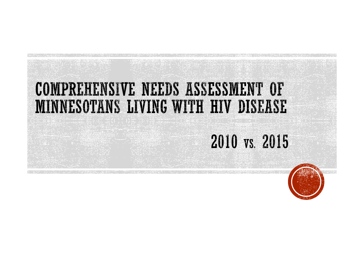### **COMPREHENSIVE NEEDS ASSESSMENT OF** MINNESOTANS LIVING WITH HIV DISEASE

### 2010 vs. 2015

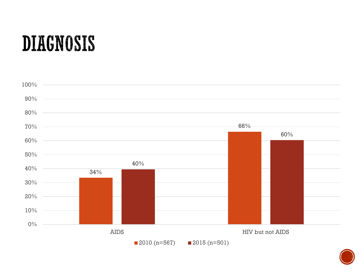### **DIAGNOSIS**



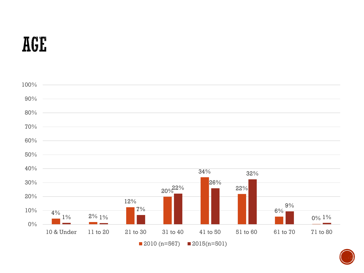### AGE



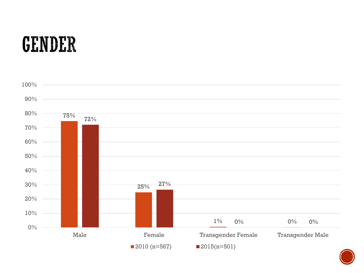## GENDER



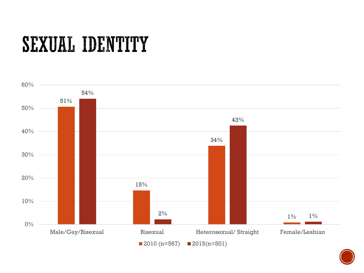# **SEXUAL IDENTITY**



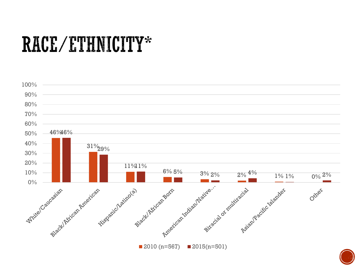### RACE/ETHNICITY\*



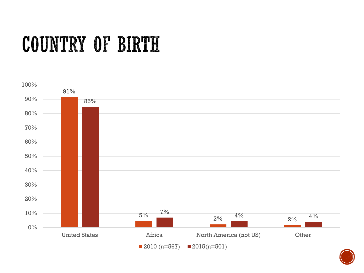## COUNTRY OF BIRTH



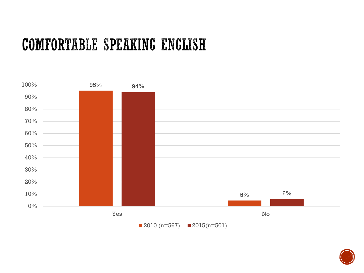#### **COMFORTABLE SPEAKING ENGLISH**



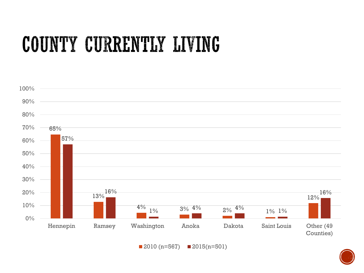# COUNTY CURRENTLY LIVING



 $\blacksquare$  2010 (n=567)  $\blacksquare$  2015(n=501)

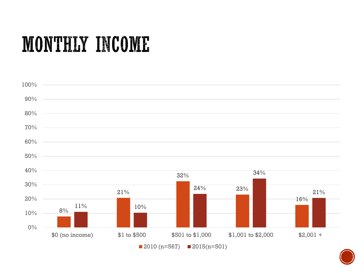### MONTHLY INCOME



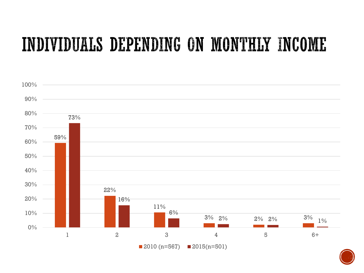### INDIVIDUALS DEPENDING ON MONTHLY INCOME



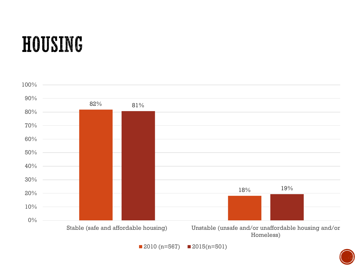# **HOUSING**



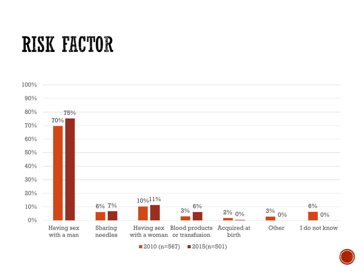# **RISK FACTOR**



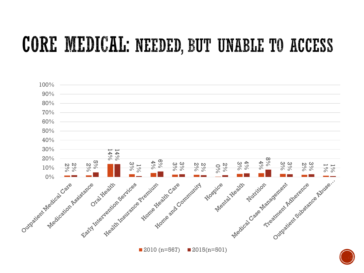### CORE MEDICAL: NEEDED, BUT UNABLE TO ACCESS



 $\blacksquare$  2010 (n=567)  $\blacksquare$  2015(n=501)